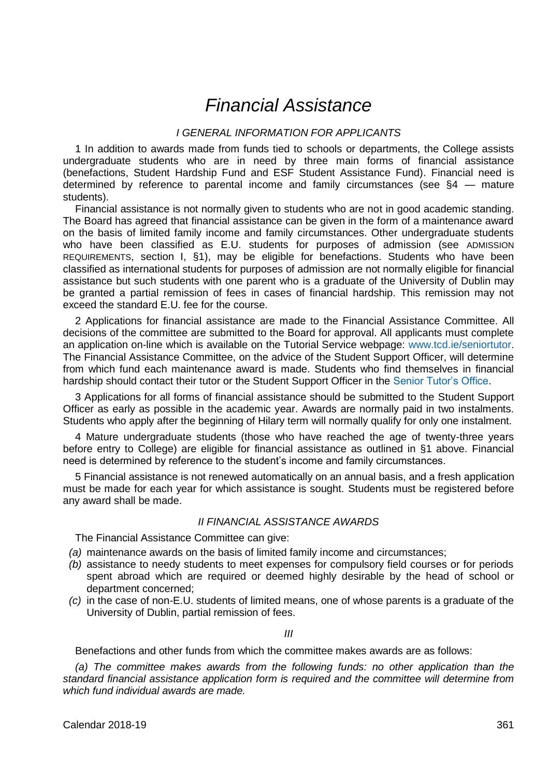# *Financial Assistance*

# *I GENERAL INFORMATION FOR APPLICANTS*

1 In addition to awards made from funds tied to schools or departments, the College assists undergraduate students who are in need by three main forms of financial assistance (benefactions, Student Hardship Fund and ESF Student Assistance Fund). Financial need is determined by reference to parental income and family circumstances (see §4 — mature students).

Financial assistance is not normally given to students who are not in good academic standing. The Board has agreed that financial assistance can be given in the form of a maintenance award on the basis of limited family income and family circumstances. Other undergraduate students who have been classified as E.U. students for purposes of admission (see ADMISSION REQUIREMENTS, section I, §1), may be eligible for benefactions. Students who have been classified as international students for purposes of admission are not normally eligible for financial assistance but such students with one parent who is a graduate of the University of Dublin may be granted a partial remission of fees in cases of financial hardship. This remission may not exceed the standard E.U. fee for the course.

2 Applications for financial assistance are made to the Financial Assistance Committee. All decisions of the committee are submitted to the Board for approval. All applicants must complete an application on-line which is available on the Tutorial Service webpage: [www.tcd.ie/seniortutor.](http://www.tcd.ie/seniortutor) The Financial Assistance Committee, on the advice of the Student Support Officer, will determine from which fund each maintenance award is made. Students who find themselves in financial hardship should contact their tutor or the Student Support Officer in th[e Senior Tutor's Office.](http://www.tcd.ie/seniortutor/)

3 Applications for all forms of financial assistance should be submitted to the Student Support Officer as early as possible in the academic year. Awards are normally paid in two instalments. Students who apply after the beginning of Hilary term will normally qualify for only one instalment.

4 Mature undergraduate students (those who have reached the age of twenty-three years before entry to College) are eligible for financial assistance as outlined in §1 above. Financial need is determined by reference to the student's income and family circumstances.

5 Financial assistance is not renewed automatically on an annual basis, and a fresh application must be made for each year for which assistance is sought. Students must be registered before any award shall be made.

# *II FINANCIAL ASSISTANCE AWARDS*

The Financial Assistance Committee can give:

- *(a)* maintenance awards on the basis of limited family income and circumstances;
- *(b)* assistance to needy students to meet expenses for compulsory field courses or for periods spent abroad which are required or deemed highly desirable by the head of school or department concerned;
- *(c)* in the case of non-E.U. students of limited means, one of whose parents is a graduate of the University of Dublin, partial remission of fees.

*III*

Benefactions and other funds from which the committee makes awards are as follows:

*(a) The committee makes awards from the following funds: no other application than the standard financial assistance application form is required and the committee will determine from which fund individual awards are made.*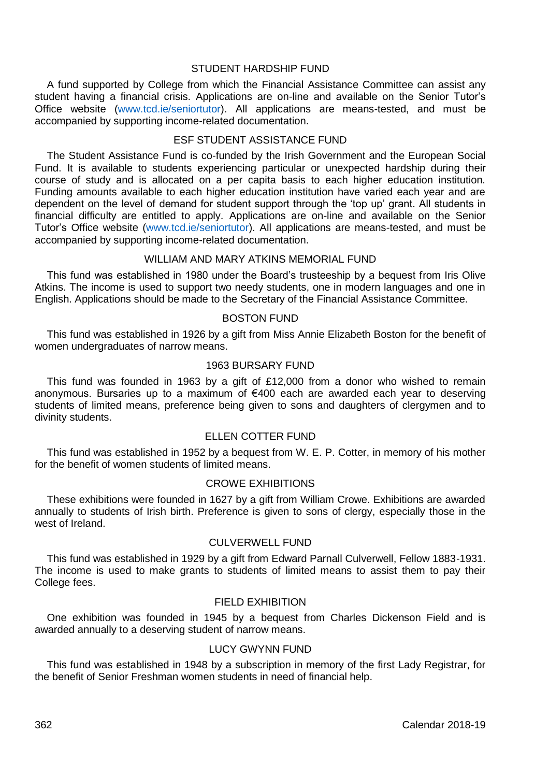# STUDENT HARDSHIP FUND

A fund supported by College from which the Financial Assistance Committee can assist any student having a financial crisis. Applications are on-line and available on the Senior Tutor's Office website [\(www.tcd.ie/seniortutor\)](http://www.tcd.ie/seniortutor). All applications are means-tested, and must be accompanied by supporting income-related documentation.

# ESF STUDENT ASSISTANCE FUND

The Student Assistance Fund is co-funded by the Irish Government and the European Social Fund. It is available to students experiencing particular or unexpected hardship during their course of study and is allocated on a per capita basis to each higher education institution. Funding amounts available to each higher education institution have varied each year and are dependent on the level of demand for student support through the 'top up' grant. All students in financial difficulty are entitled to apply. Applications are on-line and available on the Senior Tutor's Office website [\(www.tcd.ie/seniortutor\)](http://www.tcd.ie/senior_tutor). All applications are means-tested, and must be accompanied by supporting income-related documentation.

# WILLIAM AND MARY ATKINS MEMORIAL FUND

This fund was established in 1980 under the Board's trusteeship by a bequest from Iris Olive Atkins. The income is used to support two needy students, one in modern languages and one in English. Applications should be made to the Secretary of the Financial Assistance Committee.

# BOSTON FUND

This fund was established in 1926 by a gift from Miss Annie Elizabeth Boston for the benefit of women undergraduates of narrow means.

# 1963 BURSARY FUND

This fund was founded in 1963 by a gift of £12,000 from a donor who wished to remain anonymous. Bursaries up to a maximum of €400 each are awarded each year to deserving students of limited means, preference being given to sons and daughters of clergymen and to divinity students.

# ELLEN COTTER FUND

This fund was established in 1952 by a bequest from W. E. P. Cotter, in memory of his mother for the benefit of women students of limited means.

# CROWE EXHIBITIONS

These exhibitions were founded in 1627 by a gift from William Crowe. Exhibitions are awarded annually to students of Irish birth. Preference is given to sons of clergy, especially those in the west of Ireland.

# CULVERWELL FUND

This fund was established in 1929 by a gift from Edward Parnall Culverwell, Fellow 1883-1931. The income is used to make grants to students of limited means to assist them to pay their College fees.

### FIELD EXHIBITION

One exhibition was founded in 1945 by a bequest from Charles Dickenson Field and is awarded annually to a deserving student of narrow means.

# LUCY GWYNN FUND

This fund was established in 1948 by a subscription in memory of the first Lady Registrar, for the benefit of Senior Freshman women students in need of financial help.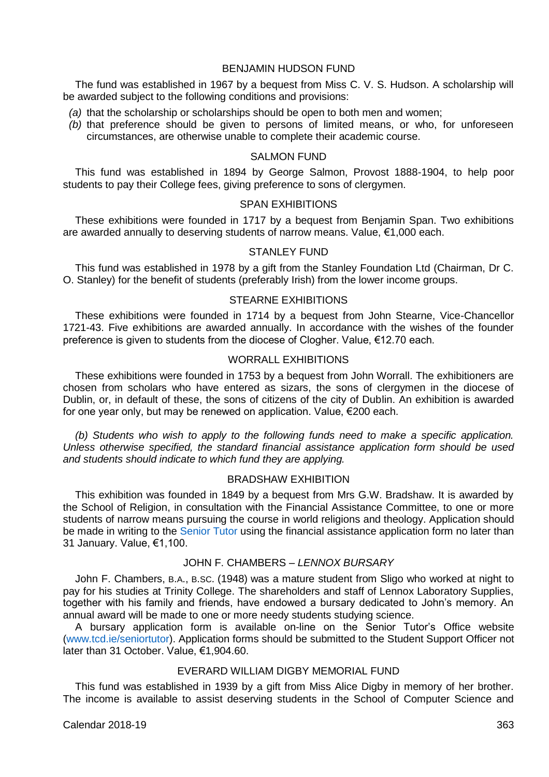## BENJAMIN HUDSON FUND

The fund was established in 1967 by a bequest from Miss C. V. S. Hudson. A scholarship will be awarded subject to the following conditions and provisions:

- *(a)* that the scholarship or scholarships should be open to both men and women;
- *(b)* that preference should be given to persons of limited means, or who, for unforeseen circumstances, are otherwise unable to complete their academic course.

# SALMON FUND

This fund was established in 1894 by George Salmon, Provost 1888-1904, to help poor students to pay their College fees, giving preference to sons of clergymen.

# SPAN EXHIBITIONS

These exhibitions were founded in 1717 by a bequest from Benjamin Span. Two exhibitions are awarded annually to deserving students of narrow means. Value, €1,000 each.

### STANLEY FUND

This fund was established in 1978 by a gift from the Stanley Foundation Ltd (Chairman, Dr C. O. Stanley) for the benefit of students (preferably Irish) from the lower income groups.

# STEARNE EXHIBITIONS

These exhibitions were founded in 1714 by a bequest from John Stearne, Vice-Chancellor 1721-43. Five exhibitions are awarded annually. In accordance with the wishes of the founder preference is given to students from the diocese of Clogher. Value, €12.70 each.

# WORRALL EXHIBITIONS

These exhibitions were founded in 1753 by a bequest from John Worrall. The exhibitioners are chosen from scholars who have entered as sizars, the sons of clergymen in the diocese of Dublin, or, in default of these, the sons of citizens of the city of Dublin. An exhibition is awarded for one year only, but may be renewed on application. Value,  $\epsilon$ 200 each.

*(b) Students who wish to apply to the following funds need to make a specific application. Unless otherwise specified, the standard financial assistance application form should be used and students should indicate to which fund they are applying.*

### BRADSHAW EXHIBITION

This exhibition was founded in 1849 by a bequest from Mrs G.W. Bradshaw. It is awarded by the School of Religion, in consultation with the Financial Assistance Committee, to one or more students of narrow means pursuing the course in world religions and theology. Application should be made in writing to the [Senior Tutor](http://www.tcd.ie/seniortutor/) using the financial assistance application form no later than 31 January. Value, €1,100.

# JOHN F. CHAMBERS – *LENNOX BURSARY*

John F. Chambers, B.A., B.SC. (1948) was a mature student from Sligo who worked at night to pay for his studies at Trinity College. The shareholders and staff of Lennox Laboratory Supplies, together with his family and friends, have endowed a bursary dedicated to John's memory. An annual award will be made to one or more needy students studying science.

A bursary application form is available on-line on the Senior Tutor's Office website [\(www.tcd.ie/seniortutor\)](http://www.tcd.ie/seniortutor/). Application forms should be submitted to the Student Support Officer not later than 31 October. Value, €1,904.60.

# EVERARD WILLIAM DIGBY MEMORIAL FUND

This fund was established in 1939 by a gift from Miss Alice Digby in memory of her brother. The income is available to assist deserving students in the School of Computer Science and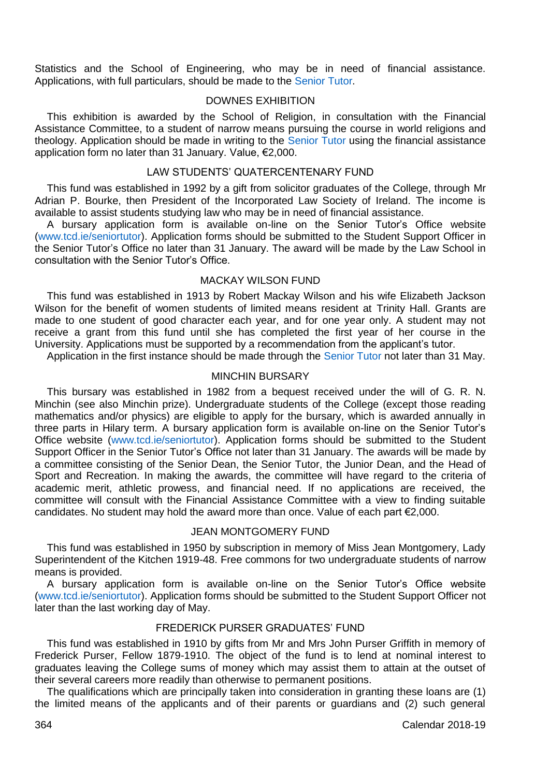Statistics and the School of Engineering, who may be in need of financial assistance. Applications, with full particulars, should be made to the [Senior Tutor.](http://www.tcd.ie/seniortutor/)

# DOWNES EXHIBITION

This exhibition is awarded by the School of Religion, in consultation with the Financial Assistance Committee, to a student of narrow means pursuing the course in world religions and theology. Application should be made in writing to the [Senior Tutor](http://www.tcd.ie/seniortutor/) using the financial assistance application form no later than 31 January. Value, €2,000.

# LAW STUDENTS' QUATERCENTENARY FUND

This fund was established in 1992 by a gift from solicitor graduates of the College, through Mr Adrian P. Bourke, then President of the Incorporated Law Society of Ireland. The income is available to assist students studying law who may be in need of financial assistance.

A bursary application form is available on-line on the Senior Tutor's Office website [\(www.tcd.ie/seniortutor\)](http://www.tcd.ie/seniortutor/). Application forms should be submitted to the Student Support Officer in the Senior Tutor's Office no later than 31 January. The award will be made by the Law School in consultation with the Senior Tutor's Office.

### MACKAY WILSON FUND

This fund was established in 1913 by Robert Mackay Wilson and his wife Elizabeth Jackson Wilson for the benefit of women students of limited means resident at Trinity Hall. Grants are made to one student of good character each year, and for one year only. A student may not receive a grant from this fund until she has completed the first year of her course in the University. Applications must be supported by a recommendation from the applicant's tutor.

Application in the first instance should be made through the [Senior Tutor](http://www.tcd.ie/seniortutor/) not later than 31 May.

# MINCHIN BURSARY

This bursary was established in 1982 from a bequest received under the will of G. R. N. Minchin (see also Minchin prize). Undergraduate students of the College (except those reading mathematics and/or physics) are eligible to apply for the bursary, which is awarded annually in three parts in Hilary term. A bursary application form is available on-line on the Senior Tutor's Office website [\(www.tcd.ie/seniortutor\)](http://www.tcd.ie/seniortutor/). Application forms should be submitted to the Student Support Officer in the Senior Tutor's Office not later than 31 January. The awards will be made by a committee consisting of the Senior Dean, the Senior Tutor, the Junior Dean, and the Head of Sport and Recreation. In making the awards, the committee will have regard to the criteria of academic merit, athletic prowess, and financial need. If no applications are received, the committee will consult with the Financial Assistance Committee with a view to finding suitable candidates. No student may hold the award more than once. Value of each part €2,000.

#### JEAN MONTGOMERY FUND

This fund was established in 1950 by subscription in memory of Miss Jean Montgomery, Lady Superintendent of the Kitchen 1919-48. Free commons for two undergraduate students of narrow means is provided.

A bursary application form is available on-line on the Senior Tutor's Office website [\(www.tcd.ie/seniortutor\)](http://www.tcd.ie/seniortutor/). Application forms should be submitted to the Student Support Officer not later than the last working day of May.

# FREDERICK PURSER GRADUATES' FUND

This fund was established in 1910 by gifts from Mr and Mrs John Purser Griffith in memory of Frederick Purser, Fellow 1879-1910. The object of the fund is to lend at nominal interest to graduates leaving the College sums of money which may assist them to attain at the outset of their several careers more readily than otherwise to permanent positions.

The qualifications which are principally taken into consideration in granting these loans are (1) the limited means of the applicants and of their parents or guardians and (2) such general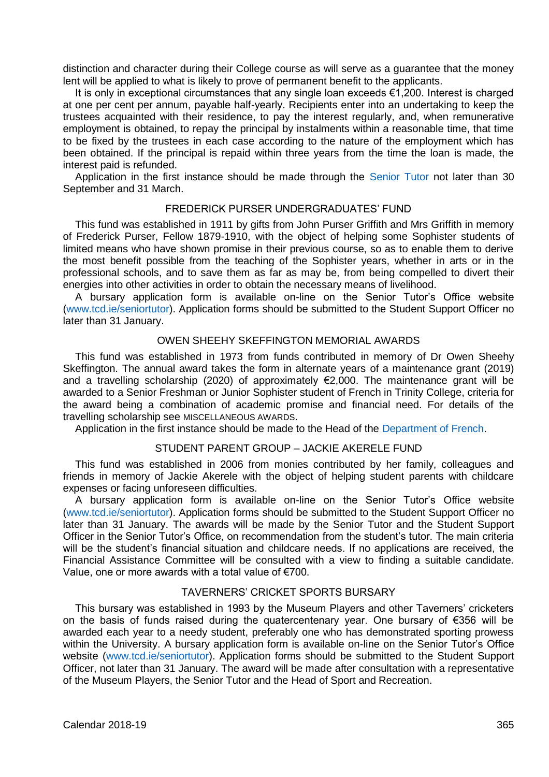distinction and character during their College course as will serve as a guarantee that the money lent will be applied to what is likely to prove of permanent benefit to the applicants.

It is only in exceptional circumstances that any single loan exceeds €1,200. Interest is charged at one per cent per annum, payable half-yearly. Recipients enter into an undertaking to keep the trustees acquainted with their residence, to pay the interest regularly, and, when remunerative employment is obtained, to repay the principal by instalments within a reasonable time, that time to be fixed by the trustees in each case according to the nature of the employment which has been obtained. If the principal is repaid within three years from the time the loan is made, the interest paid is refunded.

Application in the first instance should be made through the [Senior Tutor](http://www.tcd.ie/seniortutor/) not later than 30 September and 31 March.

# FREDERICK PURSER UNDERGRADUATES' FUND

This fund was established in 1911 by gifts from John Purser Griffith and Mrs Griffith in memory of Frederick Purser, Fellow 1879-1910, with the object of helping some Sophister students of limited means who have shown promise in their previous course, so as to enable them to derive the most benefit possible from the teaching of the Sophister years, whether in arts or in the professional schools, and to save them as far as may be, from being compelled to divert their energies into other activities in order to obtain the necessary means of livelihood.

A bursary application form is available on-line on the Senior Tutor's Office website [\(www.tcd.ie/seniortutor\)](http://www.tcd.ie/seniortutor/). Application forms should be submitted to the Student Support Officer no later than 31 January.

#### OWEN SHEEHY SKEFFINGTON MEMORIAL AWARDS

This fund was established in 1973 from funds contributed in memory of Dr Owen Sheehy Skeffington. The annual award takes the form in alternate years of a maintenance grant (2019) and a travelling scholarship (2020) of approximately €2,000. The maintenance grant will be awarded to a Senior Freshman or Junior Sophister student of French in Trinity College, criteria for the award being a combination of academic promise and financial need. For details of the travelling scholarship see MISCELLANEOUS AWARDS.

Application in the first instance should be made to the Head of the [Department of French.](http://www.tcd.ie/French/)

### STUDENT PARENT GROUP – JACKIE AKERELE FUND

This fund was established in 2006 from monies contributed by her family, colleagues and friends in memory of Jackie Akerele with the object of helping student parents with childcare expenses or facing unforeseen difficulties.

A bursary application form is available on-line on the Senior Tutor's Office website [\(www.tcd.ie/seniortutor\)](http://www.tcd.ie/seniortutor/). Application forms should be submitted to the Student Support Officer no later than 31 January. The awards will be made by the Senior Tutor and the Student Support Officer in the Senior Tutor's Office, on recommendation from the student's tutor. The main criteria will be the student's financial situation and childcare needs. If no applications are received, the Financial Assistance Committee will be consulted with a view to finding a suitable candidate. Value, one or more awards with a total value of €700.

#### TAVERNERS' CRICKET SPORTS BURSARY

This bursary was established in 1993 by the Museum Players and other Taverners' cricketers on the basis of funds raised during the quatercentenary year. One bursary of €356 will be awarded each year to a needy student, preferably one who has demonstrated sporting prowess within the University. A bursary application form is available on-line on the Senior Tutor's Office website [\(www.tcd.ie/seniortutor\)](http://www.tcd.ie/seniortutor/). Application forms should be submitted to the Student Support Officer, not later than 31 January. The award will be made after consultation with a representative of the Museum Players, the Senior Tutor and the Head of Sport and Recreation.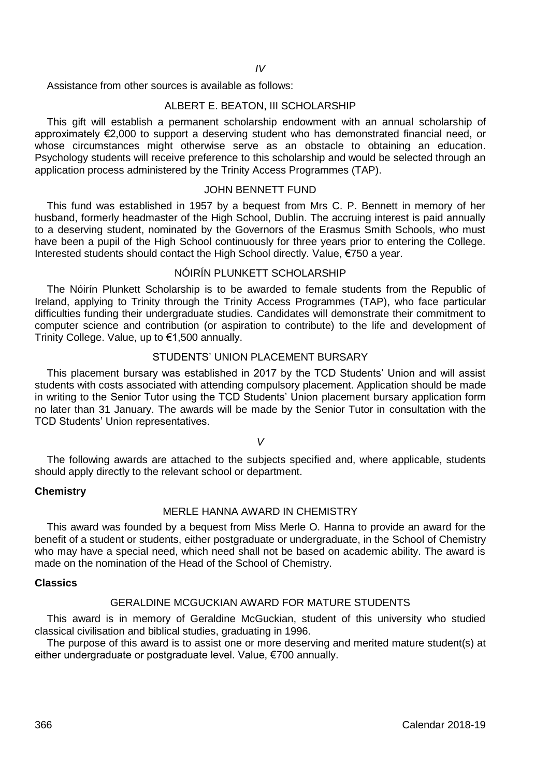Assistance from other sources is available as follows:

# ALBERT E. BEATON, III SCHOLARSHIP

This gift will establish a permanent scholarship endowment with an annual scholarship of approximately €2,000 to support a deserving student who has demonstrated financial need, or whose circumstances might otherwise serve as an obstacle to obtaining an education. Psychology students will receive preference to this scholarship and would be selected through an application process administered by the Trinity Access Programmes (TAP).

# JOHN BENNETT FUND

This fund was established in 1957 by a bequest from Mrs C. P. Bennett in memory of her husband, formerly headmaster of the High School, Dublin. The accruing interest is paid annually to a deserving student, nominated by the Governors of the Erasmus Smith Schools, who must have been a pupil of the High School continuously for three years prior to entering the College. Interested students should contact the High School directly. Value, €750 a year.

# NÓIRÍN PLUNKETT SCHOLARSHIP

The Nóirín Plunkett Scholarship is to be awarded to female students from the Republic of Ireland, applying to Trinity through the Trinity Access Programmes (TAP), who face particular difficulties funding their undergraduate studies. Candidates will demonstrate their commitment to computer science and contribution (or aspiration to contribute) to the life and development of Trinity College. Value, up to €1,500 annually.

# STUDENTS' UNION PLACEMENT BURSARY

This placement bursary was established in 2017 by the TCD Students' Union and will assist students with costs associated with attending compulsory placement. Application should be made in writing to the Senior Tutor using the TCD Students' Union placement bursary application form no later than 31 January. The awards will be made by the Senior Tutor in consultation with the TCD Students' Union representatives.

*V*

The following awards are attached to the subjects specified and, where applicable, students should apply directly to the relevant school or department.

#### **Chemistry**

# MERLE HANNA AWARD IN CHEMISTRY

This award was founded by a bequest from Miss Merle O. Hanna to provide an award for the benefit of a student or students, either postgraduate or undergraduate, in the School of Chemistry who may have a special need, which need shall not be based on academic ability. The award is made on the nomination of the Head of the School of Chemistry.

### **Classics**

# GERALDINE MCGUCKIAN AWARD FOR MATURE STUDENTS

This award is in memory of Geraldine McGuckian, student of this university who studied classical civilisation and biblical studies, graduating in 1996.

The purpose of this award is to assist one or more deserving and merited mature student(s) at either undergraduate or postgraduate level. Value, €700 annually.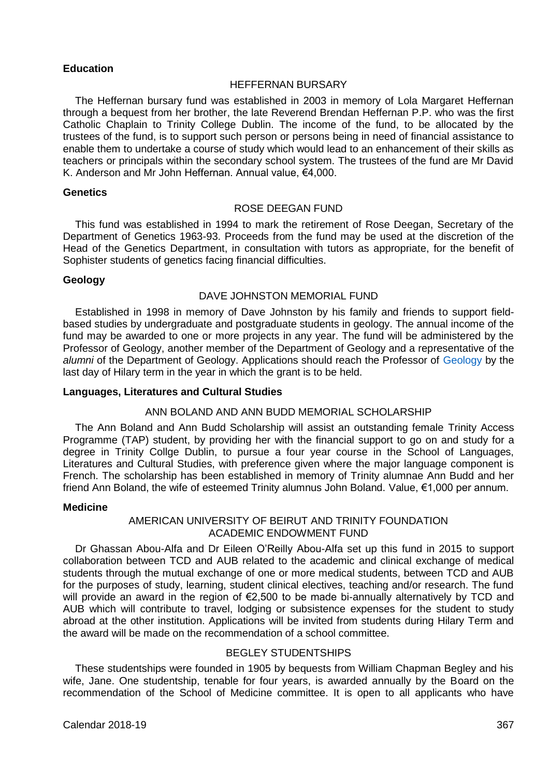## **Education**

#### HEFFERNAN BURSARY

The Heffernan bursary fund was established in 2003 in memory of Lola Margaret Heffernan through a bequest from her brother, the late Reverend Brendan Heffernan P.P. who was the first Catholic Chaplain to Trinity College Dublin. The income of the fund, to be allocated by the trustees of the fund, is to support such person or persons being in need of financial assistance to enable them to undertake a course of study which would lead to an enhancement of their skills as teachers or principals within the secondary school system. The trustees of the fund are Mr David K. Anderson and Mr John Heffernan. Annual value, €4,000.

# **Genetics**

# ROSE DEEGAN FUND

This fund was established in 1994 to mark the retirement of Rose Deegan, Secretary of the Department of Genetics 1963-93. Proceeds from the fund may be used at the discretion of the Head of the Genetics Department, in consultation with tutors as appropriate, for the benefit of Sophister students of genetics facing financial difficulties.

# **Geology**

## DAVE JOHNSTON MEMORIAL FUND

Established in 1998 in memory of Dave Johnston by his family and friends to support fieldbased studies by undergraduate and postgraduate students in geology. The annual income of the fund may be awarded to one or more projects in any year. The fund will be administered by the Professor of Geology, another member of the Department of Geology and a representative of the *alumni* of the Department of Geology. Applications should reach the Professor of [Geology](http://www.tcd.ie/Geology/) by the last day of Hilary term in the year in which the grant is to be held.

# **Languages, Literatures and Cultural Studies**

#### ANN BOLAND AND ANN BUDD MEMORIAL SCHOLARSHIP

The Ann Boland and Ann Budd Scholarship will assist an outstanding female Trinity Access Programme (TAP) student, by providing her with the financial support to go on and study for a degree in Trinity Collge Dublin, to pursue a four year course in the School of Languages, Literatures and Cultural Studies, with preference given where the major language component is French. The scholarship has been established in memory of Trinity alumnae Ann Budd and her friend Ann Boland, the wife of esteemed Trinity alumnus John Boland. Value, €1,000 per annum.

### **Medicine**

# AMERICAN UNIVERSITY OF BEIRUT AND TRINITY FOUNDATION ACADEMIC ENDOWMENT FUND

Dr Ghassan Abou-Alfa and Dr Eileen O'Reilly Abou-Alfa set up this fund in 2015 to support collaboration between TCD and AUB related to the academic and clinical exchange of medical students through the mutual exchange of one or more medical students, between TCD and AUB for the purposes of study, learning, student clinical electives, teaching and/or research. The fund will provide an award in the region of €2,500 to be made bi-annually alternatively by TCD and AUB which will contribute to travel, lodging or subsistence expenses for the student to study abroad at the other institution. Applications will be invited from students during Hilary Term and the award will be made on the recommendation of a school committee.

# BEGLEY STUDENTSHIPS

These studentships were founded in 1905 by bequests from William Chapman Begley and his wife, Jane. One studentship, tenable for four years, is awarded annually by the Board on the recommendation of the School of Medicine committee. It is open to all applicants who have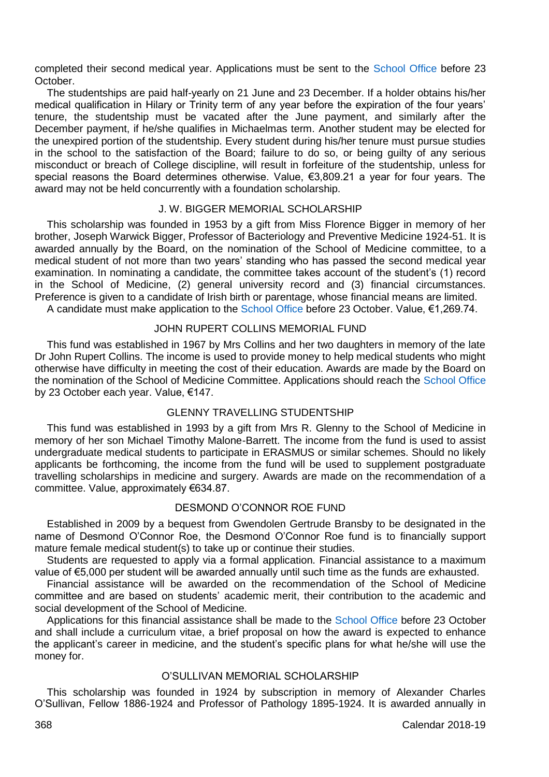completed their second medical year. Applications must be sent to the [School Office](http://medicine.tcd.ie/) before 23 October.

The studentships are paid half-yearly on 21 June and 23 December. If a holder obtains his/her medical qualification in Hilary or Trinity term of any year before the expiration of the four years' tenure, the studentship must be vacated after the June payment, and similarly after the December payment, if he/she qualifies in Michaelmas term. Another student may be elected for the unexpired portion of the studentship. Every student during his/her tenure must pursue studies in the school to the satisfaction of the Board; failure to do so, or being guilty of any serious misconduct or breach of College discipline, will result in forfeiture of the studentship, unless for special reasons the Board determines otherwise. Value, €3,809.21 a year for four years. The award may not be held concurrently with a foundation scholarship.

# J. W. BIGGER MEMORIAL SCHOLARSHIP

This scholarship was founded in 1953 by a gift from Miss Florence Bigger in memory of her brother, Joseph Warwick Bigger, Professor of Bacteriology and Preventive Medicine 1924-51. It is awarded annually by the Board, on the nomination of the School of Medicine committee, to a medical student of not more than two years' standing who has passed the second medical year examination. In nominating a candidate, the committee takes account of the student's (1) record in the School of Medicine, (2) general university record and (3) financial circumstances. Preference is given to a candidate of Irish birth or parentage, whose financial means are limited.

A candidate must make application to th[e School](http://medicine.tcd.ie/) Office before 23 October. Value, €1,269.74.

# JOHN RUPERT COLLINS MEMORIAL FUND

This fund was established in 1967 by Mrs Collins and her two daughters in memory of the late Dr John Rupert Collins. The income is used to provide money to help medical students who might otherwise have difficulty in meeting the cost of their education. Awards are made by the Board on the nomination of the School of Medicine Committee. Applications should reach th[e School Office](http://medicine.tcd.ie/) by 23 October each year. Value, €147.

# GLENNY TRAVELLING STUDENTSHIP

This fund was established in 1993 by a gift from Mrs R. Glenny to the School of Medicine in memory of her son Michael Timothy Malone-Barrett. The income from the fund is used to assist undergraduate medical students to participate in ERASMUS or similar schemes. Should no likely applicants be forthcoming, the income from the fund will be used to supplement postgraduate travelling scholarships in medicine and surgery. Awards are made on the recommendation of a committee. Value, approximately €634.87.

# DESMOND O'CONNOR ROE FUND

Established in 2009 by a bequest from Gwendolen Gertrude Bransby to be designated in the name of Desmond O'Connor Roe, the Desmond O'Connor Roe fund is to financially support mature female medical student(s) to take up or continue their studies.

Students are requested to apply via a formal application. Financial assistance to a maximum value of €5,000 per student will be awarded annually until such time as the funds are exhausted.

Financial assistance will be awarded on the recommendation of the School of Medicine committee and are based on students' academic merit, their contribution to the academic and social development of the School of Medicine.

Applications for this financial assistance shall be made to th[e School Office](http://medicine.tcd.ie/) before 23 October and shall include a curriculum vitae, a brief proposal on how the award is expected to enhance the applicant's career in medicine, and the student's specific plans for what he/she will use the money for.

# O'SULLIVAN MEMORIAL SCHOLARSHIP

This scholarship was founded in 1924 by subscription in memory of Alexander Charles O'Sullivan, Fellow 1886-1924 and Professor of Pathology 1895-1924. It is awarded annually in